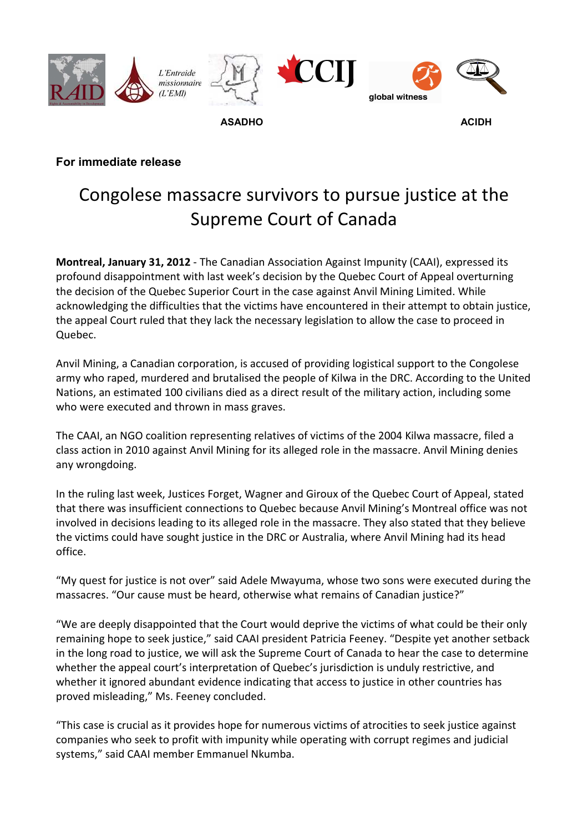

## **For immediate release**

## Congolese massacre survivors to pursue justice at the Supreme Court of Canada

**Montreal, January 31, 2012** - The Canadian Association Against Impunity (CAAI), expressed its profound disappointment with last week's decision by the Quebec Court of Appeal overturning the decision of the Quebec Superior Court in the case against Anvil Mining Limited. While acknowledging the difficulties that the victims have encountered in their attempt to obtain justice, the appeal Court ruled that they lack the necessary legislation to allow the case to proceed in Quebec.

Anvil Mining, a Canadian corporation, is accused of providing logistical support to the Congolese army who raped, murdered and brutalised the people of Kilwa in the DRC. According to the United Nations, an estimated 100 civilians died as a direct result of the military action, including some who were executed and thrown in mass graves.

The CAAI, an NGO coalition representing relatives of victims of the 2004 Kilwa massacre, filed a class action in 2010 against Anvil Mining for its alleged role in the massacre. Anvil Mining denies any wrongdoing.

In the ruling last week, Justices Forget, Wagner and Giroux of the Quebec Court of Appeal, stated that there was insufficient connections to Quebec because Anvil Mining's Montreal office was not involved in decisions leading to its alleged role in the massacre. They also stated that they believe the victims could have sought justice in the DRC or Australia, where Anvil Mining had its head office.

"My quest for justice is not over" said Adele Mwayuma, whose two sons were executed during the massacres. "Our cause must be heard, otherwise what remains of Canadian justice?"

"We are deeply disappointed that the Court would deprive the victims of what could be their only remaining hope to seek justice," said CAAI president Patricia Feeney. "Despite yet another setback in the long road to justice, we will ask the Supreme Court of Canada to hear the case to determine whether the appeal court's interpretation of Quebec's jurisdiction is unduly restrictive, and whether it ignored abundant evidence indicating that access to justice in other countries has proved misleading," Ms. Feeney concluded.

"This case is crucial as it provides hope for numerous victims of atrocities to seek justice against companies who seek to profit with impunity while operating with corrupt regimes and judicial systems," said CAAI member Emmanuel Nkumba.